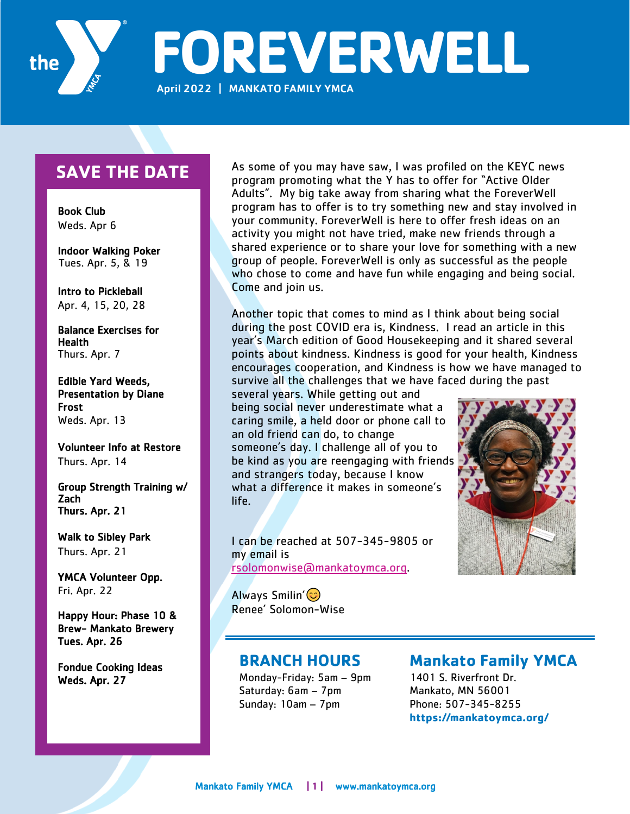

**FOREVERWELL** April 2022 | MANKATO FAMILY YMCA

## **SAVE THE DATE**

 Book Club Weds. Apr 6

Indoor Walking Poker Tues. Apr. 5, & 19

Intro to Pickleball Apr. 4, 15, 20, 28

Balance Exercises for Health Thurs. Apr. 7

Edible Yard Weeds, Presentation by Diane Frost Weds. Apr. 13

Volunteer Info at Restore Thurs. Apr. 14

Group Strength Training w/ Zach Thurs. Apr. 21

Walk to Sibley Park Thurs. Apr. 21

YMCA Volunteer Opp. Fri. Apr. 22

Happy Hour: Phase 10 & Brew- Mankato Brewery Tues. Apr. 26

Fondue Cooking Ideas Weds. Apr. 27

As some of you may have saw, I was profiled on the KEYC news program promoting what the Y has to offer for "Active Older Adults". My big take away from sharing what the ForeverWell program has to offer is to try something new and stay involved in your community. ForeverWell is here to offer fresh ideas on an activity you might not have tried, make new friends through a shared experience or to share your love for something with a new group of people. ForeverWell is only as successful as the people who chose to come and have fun while engaging and being social. Come and join us.

Another topic that comes to mind as I think about being social during the post COVID era is, Kindness. I read an article in this year's March edition of Good Housekeeping and it shared several points about kindness. Kindness is good for your health, Kindness encourages cooperation, and Kindness is how we have managed to survive all the challenges that we have faced during the past

several years. While getting out and being social never underestimate what a caring smile, a held door or phone call to an old friend can do, to change someone's day. I challenge all of you to be kind as you are reengaging with friends and strangers today, because I know what a difference it makes in someone's life.

I can be reached at 507-345-9805 or my email is rsolomonwise@mankatoymca.org.

Always Smilin'  $\circledcirc$ Renee' Solomon-Wise



### **BRANCH HOURS**

Monday-Friday: 5am – 9pm Saturday: 6am – 7pm Sunday: 10am – 7pm

## **Mankato Family YMCA**

1401 S. Riverfront Dr. Mankato, MN 56001 Phone: 507-345-8255 **https://mankatoymca.org/**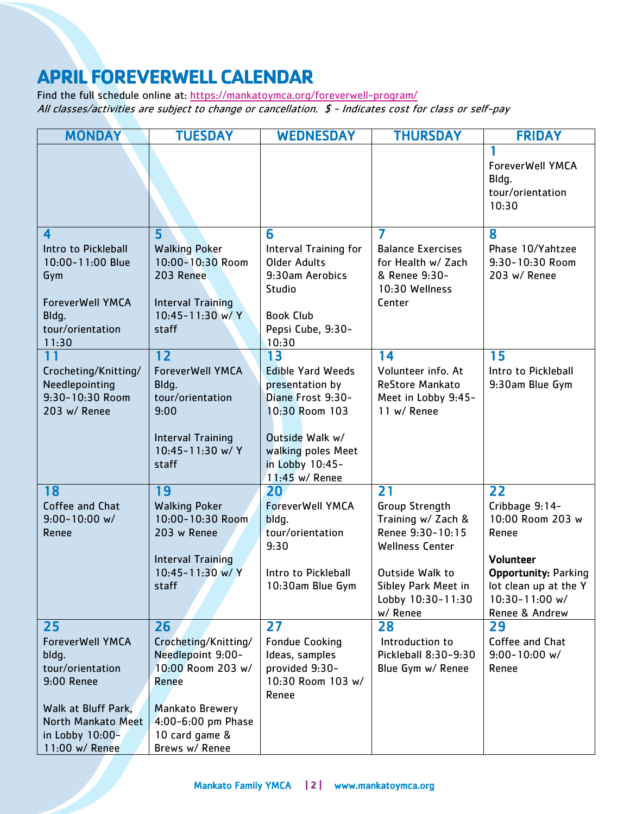# **APRIL FOREVERWELL CALENDAR**

Find the full schedule online at: https://mankatoymca.org/foreverwell-program/ All classes/activities are subject to change or cancellation. \$ - Indicates cost for class or self-pay

| <b>MONDAY</b>                             | <b>TUESDAY</b>                               | <b>WEDNESDAY</b>                             | <b>THURSDAY</b>                                | <b>FRIDAY</b>                                          |
|-------------------------------------------|----------------------------------------------|----------------------------------------------|------------------------------------------------|--------------------------------------------------------|
|                                           |                                              |                                              |                                                | ForeverWell YMCA<br>Bldq.<br>tour/orientation<br>10:30 |
| 4                                         | 5                                            | 6                                            | 7                                              | 8                                                      |
| Intro to Pickleball<br>10:00-11:00 Blue   | <b>Walking Poker</b><br>10:00-10:30 Room     | Interval Training for<br><b>Older Adults</b> | <b>Balance Exercises</b><br>for Health w/ Zach | Phase 10/Yahtzee<br>9:30-10:30 Room                    |
| Gym                                       | 203 Renee                                    | 9:30am Aerobics<br>Studio                    | & Renee 9:30-<br>10:30 Wellness                | 203 w/ Renee                                           |
| <b>ForeverWell YMCA</b>                   | <b>Interval Training</b>                     |                                              | Center                                         |                                                        |
| Bldq.                                     | 10:45-11:30 w/ Y                             | <b>Book Club</b>                             |                                                |                                                        |
| tour/orientation<br>11:30                 | staff                                        | Pepsi Cube, 9:30-<br>10:30                   |                                                |                                                        |
| 11                                        | 12                                           | 13                                           | $\overline{14}$                                | 15                                                     |
| Crocheting/Knitting/                      | <b>ForeverWell YMCA</b>                      | <b>Edible Yard Weeds</b>                     | Volunteer info. At                             | Intro to Pickleball                                    |
| Needlepointing<br>9:30-10:30 Room         | Bldg.<br>tour/orientation                    | presentation by<br>Diane Frost 9:30-         | <b>ReStore Mankato</b><br>Meet in Lobby 9:45-  | 9:30am Blue Gym                                        |
| 203 w/ Renee                              | 9:00                                         | 10:30 Room 103                               | 11 w/ Renee                                    |                                                        |
|                                           |                                              |                                              |                                                |                                                        |
|                                           | <b>Interval Training</b><br>10:45-11:30 w/ Y | Outside Walk w/                              |                                                |                                                        |
|                                           | staff                                        | walking poles Meet<br>in Lobby 10:45-        |                                                |                                                        |
|                                           |                                              | 11:45 w/ Renee                               |                                                |                                                        |
| 18                                        | 19                                           | 20                                           | 21                                             | 22                                                     |
| Coffee and Chat<br>$9:00 - 10:00$ w/      | <b>Walking Poker</b><br>10:00-10:30 Room     | <b>ForeverWell YMCA</b>                      | Group Strength                                 | Cribbage 9:14-<br>10:00 Room 203 w                     |
| Renee                                     | 203 w Renee                                  | bldq.<br>tour/orientation                    | Training w/ Zach &<br>Renee 9:30-10:15         | Renee                                                  |
|                                           |                                              | 9:30                                         | <b>Wellness Center</b>                         |                                                        |
|                                           | <b>Interval Training</b>                     |                                              |                                                | Volunteer                                              |
|                                           | 10:45-11:30 w/ Y<br>staff                    | Intro to Pickleball<br>10:30am Blue Gym      | Outside Walk to<br>Sibley Park Meet in         | <b>Opportunity: Parking</b><br>lot clean up at the Y   |
|                                           |                                              |                                              | Lobby 10:30-11:30                              | 10:30-11:00 w/                                         |
|                                           |                                              |                                              | w/ Renee                                       | Renee & Andrew                                         |
| 25                                        | 26                                           | 27                                           | 28                                             | 29                                                     |
| <b>ForeverWell YMCA</b><br>bldq.          | Crocheting/Knitting/<br>Needlepoint 9:00-    | <b>Fondue Cooking</b><br>Ideas, samples      | Introduction to<br>Pickleball 8:30-9:30        | Coffee and Chat<br>$9:00 - 10:00$ w/                   |
| tour/orientation                          | 10:00 Room 203 w/                            | provided 9:30-                               | Blue Gym w/ Renee                              | Renee                                                  |
| 9:00 Renee                                | Renee                                        | 10:30 Room 103 w/                            |                                                |                                                        |
|                                           |                                              | Renee                                        |                                                |                                                        |
| Walk at Bluff Park,<br>North Mankato Meet | <b>Mankato Brewery</b><br>4:00-6:00 pm Phase |                                              |                                                |                                                        |
| in Lobby 10:00-                           | 10 card game &                               |                                              |                                                |                                                        |
| 11:00 w/ Renee                            | Brews w/ Renee                               |                                              |                                                |                                                        |